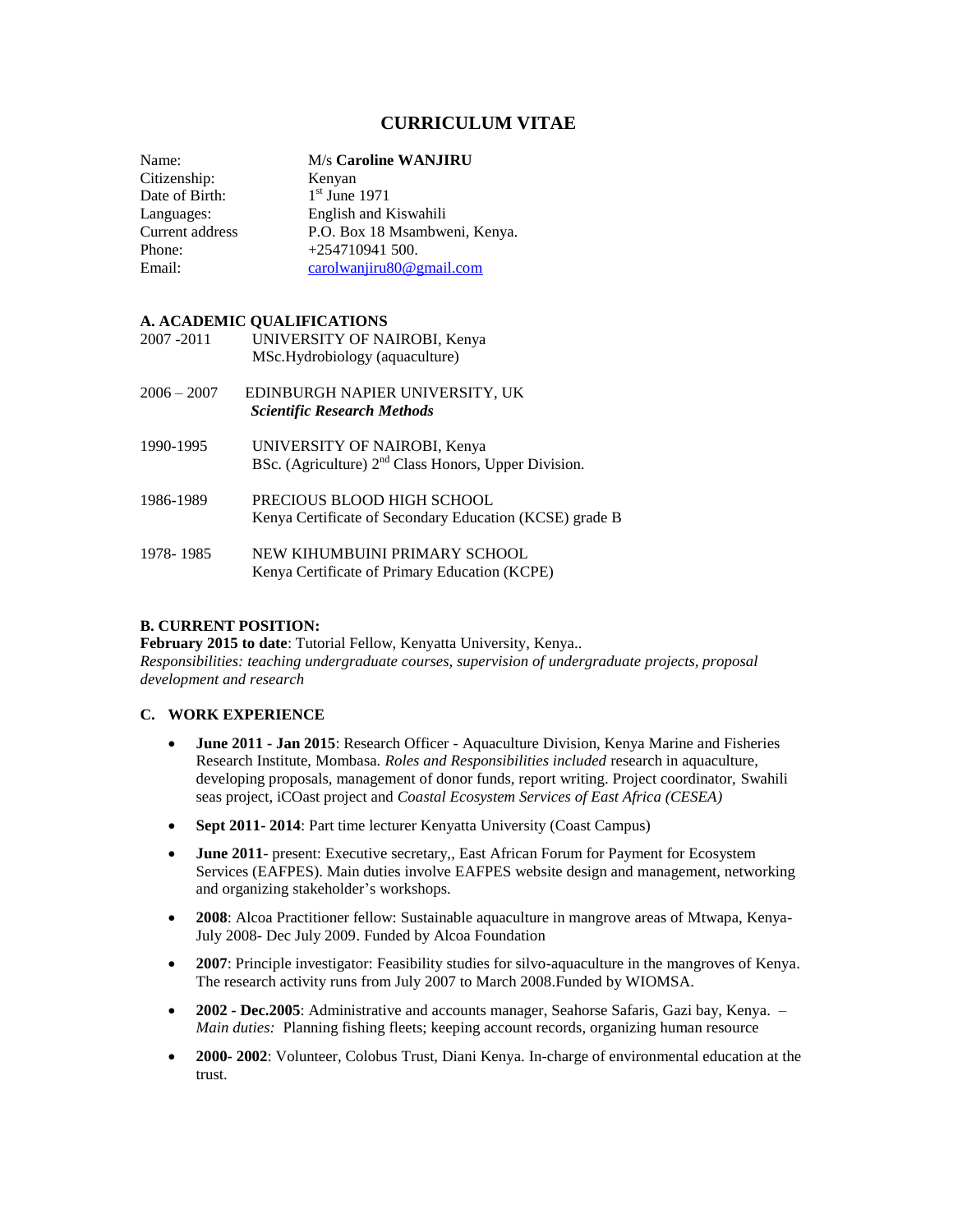# **CURRICULUM VITAE**

Citizenship: Kenyan Date of Birth:

Name: M/s **Caroline WANJIRU**

 $1<sup>st</sup>$  June 1971 Languages: English and Kiswahili Current address P.O. Box 18 Msambweni, Kenya.<br>Phone: +254710941 500.  $+254710941500.$ Email: [carolwanjiru80@gmail.com](mailto:carolwanjiru80@gmail.com)

## **A. ACADEMIC QUALIFICATIONS**

| 2007 - 2011   | UNIVERSITY OF NAIROBI, Kenya<br>MSc.Hydrobiology (aquaculture)                                   |
|---------------|--------------------------------------------------------------------------------------------------|
| $2006 - 2007$ | EDINBURGH NAPIER UNIVERSITY, UK<br><b>Scientific Research Methods</b>                            |
| 1990-1995     | UNIVERSITY OF NAIROBI, Kenya<br>BSc. (Agriculture) 2 <sup>nd</sup> Class Honors, Upper Division. |
| 1986-1989     | PRECIOUS BLOOD HIGH SCHOOL<br>Kenya Certificate of Secondary Education (KCSE) grade B            |
| 1978-1985     | NEW KIHUMBUINI PRIMARY SCHOOL<br>Kenya Certificate of Primary Education (KCPE)                   |

### **B. CURRENT POSITION:**

**February 2015 to date**: Tutorial Fellow, Kenyatta University, Kenya.. *Responsibilities: teaching undergraduate courses, supervision of undergraduate projects, proposal development and research*

#### **C. WORK EXPERIENCE**

- **June 2011 - Jan 2015**: Research Officer Aquaculture Division, Kenya Marine and Fisheries Research Institute, Mombasa. *Roles and Responsibilities included* research in aquaculture, developing proposals, management of donor funds, report writing. Project coordinator, Swahili seas project, iCOast project and *Coastal Ecosystem Services of East Africa (CESEA)*
- **Sept 2011- 2014**: Part time lecturer Kenyatta University (Coast Campus)
- **June 2011** present: Executive secretary,, East African Forum for Payment for Ecosystem Services (EAFPES). Main duties involve EAFPES website design and management, networking and organizing stakeholder's workshops.
- **2008**: Alcoa Practitioner fellow: Sustainable aquaculture in mangrove areas of Mtwapa, Kenya-July 2008- Dec July 2009. Funded by Alcoa Foundation
- **2007**: Principle investigator: Feasibility studies for silvo-aquaculture in the mangroves of Kenya. The research activity runs from July 2007 to March 2008.Funded by WIOMSA.
- **2002 - Dec.2005**: Administrative and accounts manager, Seahorse Safaris, Gazi bay, Kenya. *Main duties:* Planning fishing fleets; keeping account records, organizing human resource
- **2000- 2002**: Volunteer, Colobus Trust, Diani Kenya. In-charge of environmental education at the trust.